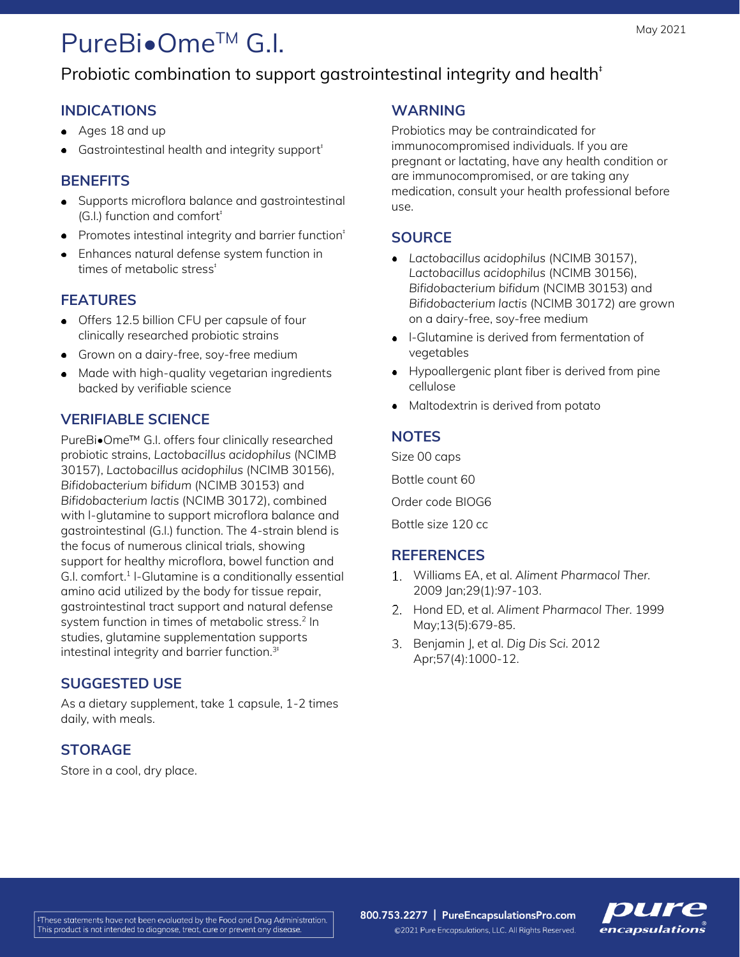# PureBi**•**OmeTM G.I.

## Probiotic combination to support gastrointestinal integrity and health<sup>+</sup>

#### **INDICATIONS**

- Ages 18 and up
- Gastrointestinal health and integrity support $^*$

#### **BENEFITS**

- Supports microflora balance and gastrointestinal (G.I.) function and comfort<sup>+</sup>
- Promotes intestinal integrity and barrier function<sup>‡</sup>
- Enhances natural defense system function in times of metabolic stress<sup>t</sup>

#### **FEATURES**

- Offers 12.5 billion CFU per capsule of four clinically researched probiotic strains
- Grown on a dairy-free, soy-free medium
- Made with high-quality vegetarian ingredients backed by verifiable science

#### **VERIFIABLE SCIENCE**

PureBi•Ome™ G.I. offers four clinically researched probiotic strains, *Lactobacillus acidophilus* (NCIMB 30157), *Lactobacillus acidophilus* (NCIMB 30156), *Bifidobacterium bifidum* (NCIMB 30153) and *Bifidobacterium lactis* (NCIMB 30172), combined with l-glutamine to support microflora balance and gastrointestinal (G.I.) function. The 4-strain blend is the focus of numerous clinical trials, showing support for healthy microflora, bowel function and G.I. comfort.<sup>1</sup> I-Glutamine is a conditionally essential amino acid utilized by the body for tissue repair, gastrointestinal tract support and natural defense system function in times of metabolic stress.<sup>2</sup> In studies, glutamine supplementation supports intestinal integrity and barrier function.<sup>3t</sup>

#### **SUGGESTED USE**

As a dietary supplement, take 1 capsule, 1-2 times daily, with meals.

### **STORAGE**

Store in a cool, dry place.

#### **WARNING**

Probiotics may be contraindicated for immunocompromised individuals. If you are pregnant or lactating, have any health condition or are immunocompromised, or are taking any medication, consult your health professional before use.

#### **SOURCE**

- *Lactobacillus acidophilus* (NCIMB 30157), *Lactobacillus acidophilus* (NCIMB 30156), *Bifidobacterium bifidum* (NCIMB 30153) and *Bifidobacterium lactis* (NCIMB 30172) are grown on a dairy-free, soy-free medium
- l-Glutamine is derived from fermentation of vegetables
- Hypoallergenic plant fiber is derived from pine cellulose
- Maltodextrin is derived from potato

#### **NOTES**

Size 00 caps Bottle count 60 Order code BIOG6 Bottle size 120 cc

#### **REFERENCES**

- Williams EA, et al. *Aliment Pharmacol Ther.* 2009 Jan;29(1):97-103.
- Hond ED, et al. *Aliment Pharmacol Ther.* 1999 May;13(5):679-85.
- Benjamin J, et al. *Dig Dis Sci*. 2012 Apr;57(4):1000-12.

800.753.2277 | PureEncapsulationsPro.com



©2021 Pure Encapsulations, LLC. All Rights Reserved.